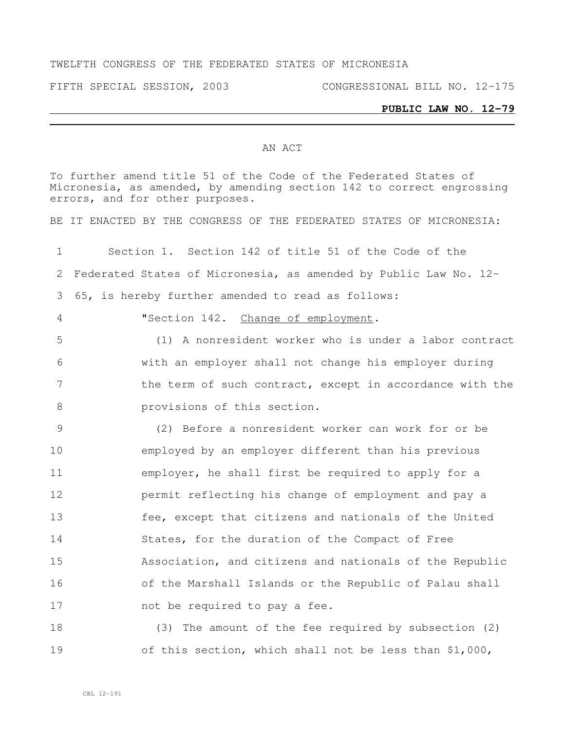## TWELFTH CONGRESS OF THE FEDERATED STATES OF MICRONESIA

FIFTH SPECIAL SESSION, 2003 CONGRESSIONAL BILL NO. 12-175

## **PUBLIC LAW NO. 12-79**

## AN ACT

To further amend title 51 of the Code of the Federated States of Micronesia, as amended, by amending section 142 to correct engrossing errors, and for other purposes.

BE IT ENACTED BY THE CONGRESS OF THE FEDERATED STATES OF MICRONESIA:

 Section 1. Section 142 of title 51 of the Code of the Federated States of Micronesia, as amended by Public Law No. 12- 65, is hereby further amended to read as follows:

"Section 142. Change of employment.

 (1) A nonresident worker who is under a labor contract with an employer shall not change his employer during 7 the term of such contract, except in accordance with the **provisions of this section.** 

 (2) Before a nonresident worker can work for or be employed by an employer different than his previous employer, he shall first be required to apply for a permit reflecting his change of employment and pay a fee, except that citizens and nationals of the United States, for the duration of the Compact of Free Association, and citizens and nationals of the Republic of the Marshall Islands or the Republic of Palau shall 17 hot be required to pay a fee.

 (3) The amount of the fee required by subsection (2) of this section, which shall not be less than \$1,000,